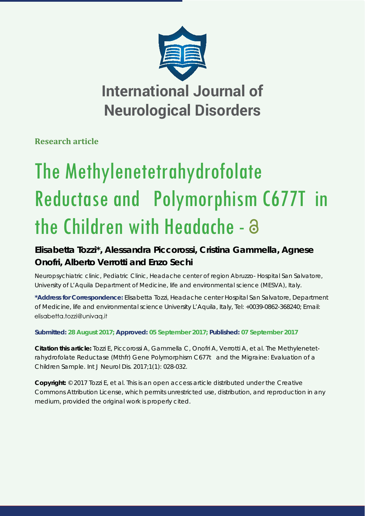

**Research article**

# The Methylenetetrahydrofolate Reductase and Polymorphism C677T in the Children with Headache - a

## **Elisabetta Tozzi\*, Alessandra Piccorossi, Cristina Gammella, Agnese Onofri, Alberto Verrotti and Enzo Sechi**

*Neuropsychiatric clinic, Pediatric Clinic, Headache center of region Abruzzo- Hospital San Salvatore, University of L'Aquila Department of Medicine, life and environmental science (MESVA), Italy.*

**\*Address for Correspondence:** Elisabetta Tozzi, Headache center Hospital San Salvatore, Department of Medicine, life and environmental science University L'Aquila, Italy, Tel: +0039-0862-368240; Email: elisabetta.tozzi@univag.it

**Submitted: 28 August 2017; Approved: 05 September 2017; Published: 07 September 2017**

**Citation this article:** Tozzi E, Piccorossi A, Gammella C, Onofri A, Verrotti A, et al. The Methylenetetrahydrofolate Reductase (Mthfr) Gene Polymorphism C677t and the Migraine: Evaluation of a Children Sample. Int J Neurol Dis. 2017;1(1): 028-032.

**Copyright:** © 2017 Tozzi E, et al. This is an open access article distributed under the Creative Commons Attribution License, which permits unrestricted use, distribution, and reproduction in any medium, provided the original work is properly cited.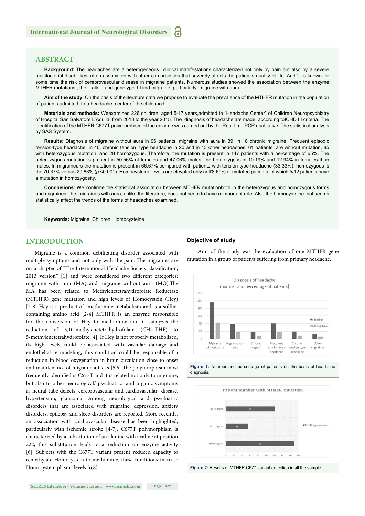#### **ABSTRACT**

**Background**: The headaches are a heterogeneous clinical manifestations characterized not only by pain but also by a severe multifactorial disabilities, often associated with other comorbidities that severely affects the patient's quality of life. And 'it is known for some time the risk of cerebrovascular disease in migraine patients. Numerous studies showed the association between the enzyme MTHFR mutations , the T allele and genotype TTand migraine, particularly migraine with aura.

**Aim of the study**: On the basis of theliterature data we propose to evaluate the prevalence of the MTHFR mutation in the population of patients admitted to a headache center of the childhood.

**Materials and methods:** Weexamined 226 children, aged 5-17 years,admitted to "Headache Center" of Children Neuropsychiatry of Hospital San Salvatore L'Aquila, from 2013 to the year 2015. The diagnosis of headache are made according toICHD III criteria. The identification of the MTHFR C677T polymorphism of the enzyme was carried out by the Real-time PCR qualitative. The statistical analysis by SAS System.

**Results:** Diagnosis of migraine without aura in 96 patients, migraine with aura in 39, in 18 chronic migraine, Frequent episodic tension-type headache in 40, chronic tension type headache in 20 and in 13 other headaches. 61 patients are without mutation, 85 with heterozygous mutation, and 28 homozygous. Therefore, the mutation is present in 147 patients with a percentage of 65%. The heterozygous mutation is present in 50.56% of females and 47.06% males; the homozygous in 10.19% and 12.94% in females than males. In migraineurs the mutation is present in 66.67% compared with patients with tension-type headache (33.33%), homozygous is the 70.37% versus 29.63% (*p* <0.001). Homocysteine levels are elevated only nell'8.69% of mutated patients, of which 5/12 patients have a mutation in homozygosity.

**Conclusions**: We confirme the statistical association between MTHFR mutationboth in the heterozygous and homozygous forms and migraines.The migraines with aura, unlike the literature, does not seem to have a important role. Also the homocysteine not seems statistically affect the trends of the forms of headaches examined.

**Keywords:** Migraine; Children; Homocysteine

#### **INTRODUCTION**

Migraine is a common debilitating disorder associated with multiple symptoms and not only with the pain. The migraines are on a chapter of "The International Headache Society classification, 2013 version" [1] and were considered two different categories: migraine with aura (MA) and migraine without aura (MO). The MA has been related to Methylenetetrahydrofolate Reductase (MTHFR) gene mutation and high levels of Homocystein (Hcy) [2-8] Hcy is a product of methionine metabolism and is a sulfurcontaining amino acid [2-4] MTHFR is an enzyme responsible for the conversion of Hcy to methionine and it catalyzes the reduction of 5,10-methylenetetrahydrofolate (CH2-THF) to 5-methylenetetrahydrofolate [4]. If Hcy is not properly metabolized, its high levels could be associated with vascular damage and endothelial re modeling, this condition could be responsible of a reduction in blood oxygenation in brain circulation close to onset and maintenance of migraine attacks  $[5,6]$  The polymorphism most frequently identified is C677T and it is related not only to migraine, but also to other neurological/ psychiatric and organic symptoms as neural tube defects, cerebrovascular and cardiovascular disease, hypertension, glaucoma. Among neurological and psychiatric disorders that are associated with migraine, depression, anxiety disorders, epilepsy and sleep disorders are reported. More recently, an association with cardiovascular disease has been highlighted, particularly with ischemic stroke [4-7]. C677T polymorphism is characterized by a substitution of an alanine with avaline at position 222; this substitution leads to a reduction on enzyme activity [6]. Subjects with the C677T variant present reduced capacity to remethylate Homocystein to methionine, these conditions increase Homocystein plasma levels [6,8].

#### **Objective of study**

Aim of the study was the evaluation of one MTHFR gene mutation in a group of patients suffering from primary headache.



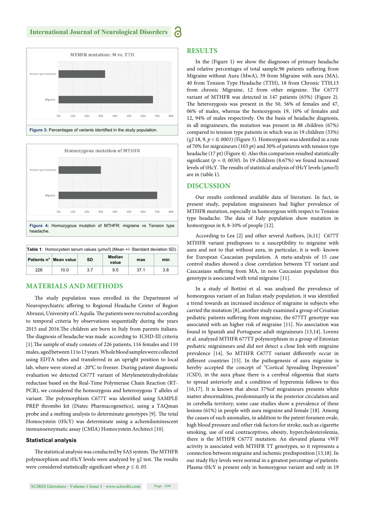#### **International Journal of Neurological Disorders**





| <b>Table 1:</b> Homocystein serum values (µmo/l) (Mean +/- Standard deviation SD). |                          |     |                 |      |     |
|------------------------------------------------------------------------------------|--------------------------|-----|-----------------|------|-----|
|                                                                                    | Patients n°   Mean value | SD  | Median<br>value | max  | min |
| 226                                                                                | 10.0                     | 3.7 | 9.5             | 37.1 | 3.8 |

### **MATERIALS AND METHODS**

The study population wass enrolled in the Department of Neuropsychiatric affering to Regional Headache Center of Region Abruzzi, University of L'Aquila. The patients were recruited according to temporal criteria by observations sequentially during the years 2015 and 2016. The children are born in Italy from parents italians. The diagnosis of headache was made according to ICHD-III criteria [1]. The sample of study consists of 226 patients, 116 females and 110 males, aged between 11 to 13 years. Whole blood samples were collected using EDTA tubes and transferred in an upright position to local lab, where were stored at -20°C to freezer. During patient diagnostic evaluation we detected C677T variant of Metylenetetrahydrofolate reductase based on the Real-Time Polymerase Chain Reaction (RT-PCR), we considered the homozygous and heterozygous T alleles of variant. The polymorphism C677T was identified using SAMPLE PREP thrombo kit (Diatec Pharmacogenetics), using a TAQman probe and a melting analysis to determinate genotypes [9]. The total Homocystein (tHcY) was determinate using a achemiluminescent immunoenzymatic assay (CMIA) Homocystein Architect [10].

#### **Statistical analysis**

The statistical analysis was conducted by SAS system. The MTHFR polymorphism and tHcY levels were analyzed by  $\chi$ 2 test. The results were considered statistically significant when  $p \leq 0$ , 05.

#### **RESULTS**

In the (Figure 1) we show the diagnoses of primary headache and relative percentages of total sample.96 patients suffering from Migraine without Aura (MwA), 39 from Migraine with aura (MA), 40 from Tension Type Headache (TTH), 18 from Chronic TTH,13 from chronic Migraine, 12 from other migraine. The C677T variant of MTHFR was detected in 147 patients (65%) (Figure 2). The heterozygosis was present in the 50, 56% of females and 47, 06% of males, whereas the homozygosis 19, 10% of females and 12, 94% of males respectively. On the basis of headache diagnosis, in all migraineurs, the mutation was present in 88 children (67%) compared to tension type patients in which was in 19 children (33%)  $(\chi^2 18, 9, p < 0, 0001)$  (Figure 3). Homozygosis was identified in a rate of 70% for migraineurs (103 pt) and 30% of patients with tension type headache (17 pt) (Figure 4). Also this comparison resulted statistically significant ( $p = 0$ , 0030). In 19 children (8.67%) we found increased levels of tHcY. The results of statistical analysis of tHcY levels (μmo/l) are in (table 1).

#### **DISCUSSION**

Our results confirmed available data of literature. In fact, in present study, population migraineurs had higher prevalence of MTHFR mutation, especially in homozygous with respect to Tension type headache. The data of Italy population show mutation in homozygous in 8, 8-10% of people [12].

According to Lea [2] and other several Authors, [6,11] C677T MTHFR variant predisposes to a susceptibility to migraine with aura and not to that without aura, in particular, it is well- known for European Caucasian population. A meta-analysis of 15 case control studies showed a close correlation between TT variant and Caucasians suffering from MA, in non Caucasian population this genotype is associated with total migraine [11].

In a study of Bottini et al. was analyzed the prevalence of homozygous variant of an Italian study population, it was identified a trend towards an increased incidence of migraine in subjects who carried the mutation [8], another study examined a group of Croatian pediatric patients suffering from migraine, the 677TT genotype was associated with an higher risk of migraine [11]. No association was found in Spanish and Portuguese adult migraineurs [13,14]. Lorenz et al. analyzed MTHFR 677TT polymorphism in a group of Estonian pediatric migraineurs and did not detect a close link with migraine prevalence [14]. So MTHFR C677T variant differently occur in different countries [15]. In the pathogenesis of aura migraine is hereby accepted the concept of "Cortical Spreading Depression" (CSD), in the aura phase there is a cerebral oligoemia that starts to spread anteriorly and a condition of hyperemia follows to this [16,17]. It is known that about 37%of migraineurs presents white matter abnormalities, predominantly in the posterior circulation and in cerebella territory; some case studies show a prevalence of these lesions (61%) in people with aura migraine and female [18]. Among the causes of such anomalies, in addition to the patent foramen ovale, high blood pressure and other risk factors for stroke, such as cigarette smoking, use of oral contraceptives, obesity, hypercholesterolemia, there is the MTHFR C677T mutation. An elevated plasma vWF activity is associated with MTHFR TT genotypes, so it represents a connection between migraine and ischemic predisposition [13,18]. In our study Hcy levels were normal in a greatest percentage of patients. Plasma tHcY is present only in homozygous variant and only in 19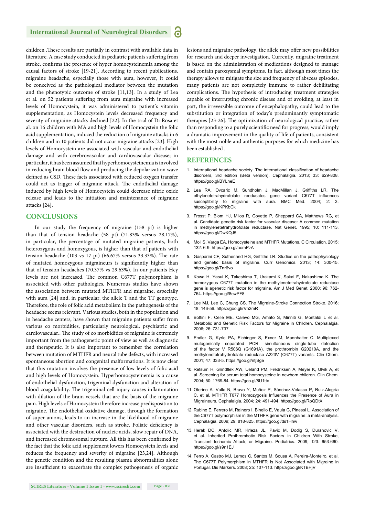#### **International Journal of Neurological Disorders** Ы

children .These results are partially in contrast with available data in literature. A case study conducted in pediatric patients suffering from stroke, confirms the presence of hyper homocysteinemia among the causal factors of stroke [19-21]. According to recent publications, migraine headache, especially those with aura, however, it could be conceived as the pathological mediator between the mutation and the phenotypic outcome of stroke [11,13]. In a study of Lea et al. on 52 patients suffering from aura migraine with increased levels of Homocystein, it was administered to patient's vitamin supplementation, as Homocystein levels decreased frequency and severity of migraine attacks declined [22]. In the trial of Di Rosa et al. on 16 children with MA and high levels of Homocystein the folic acid supplementation, induced the reduction of migraine attacks in 6 children and in 10 patients did not occur migraine attacks [23]. High levels of Homocystein are associated with vascular and endothelial damage and with cerebrovascular and cardiovascular disease; in particular, it has been assumed that hyperhomocysteinemia is involved in reducing brain blood flow and producing the depolarization wave defined as CSD. These facts associated with reduced oxygen transfer could act as trigger of migraine attack. The endothelial damage induced by high levels of Homocystein could decrease nitric oxide release and leads to the initiation and maintenance of migraine attacks [24].

#### **CONCLUSIONS**

In our study the frequency of migraine (158 pt) is higher than that of tension headache (58 pt) (71.83% versus 28.17%), in particular, the percentage of mutated migraine patients, both heterozygous and homozygous, is higher than that of patients with tension headache (103 vs 17 pt) (66.67% versus 33.33%). The rate of mutated homozygous migraineurs is significantly higher than that of tension headaches (70.37% vs 29.63%). In our patients Hcy levels are not increased. The common C677T polymorphism is associated with other pathologies. Numerous studies have shown the association between mutated MTHFR and migraine, especially with aura [24] and, in particular, the allele T and the TT genotype. Therefore, the role of folic acid metabolism in the pathogenesis of the headache seems relevant. Various studies, both in the population and in headache centers, have shown that migraine patients suffer from various co morbidities, particularly neurological, psychiatric and cardiovascular.. The study of co morbidities of migraine is extremely important from the pathogenetic point of view as well as diagnostic and therapeutic. It is also important to remember the correlation between mutation of MTHFR and neural tube defects, with increased spontaneous abortion and congenital malformations. It is now clear that this mutation involves the presence of low levels of folic acid and high levels of Homocystein. Hyperhomocysteinemia is a cause of endothelial dysfunction, trigeminal dysfunction and alteration of blood coagulability. The trigeminal cell injury causes inflammation with dilation of the brain vessels that are the basis of the migraine pain. High levels of Homocystein therefore increase predisposition to migraine. The endothelial oxidative damage, through the formation of super anions, leads to an increase in the likelihood of migraine and other vascular disorders, such as stroke. Foliate deficiency is associated with the destruction of nucleic acids, slow repair of DNA, and increased chromosomal rupture. All this has been confirmed by the fact that the folic acid supplement lowers Homocystein levels and reduces the frequency and severity of migraine [23,24]. Although the genetic condition and the resulting plasma abnormalities alone are insufficient to exacerbate the complex pathogenesis of organic lesions and migraine pathology, the allele may offer new possibilities for research and deeper investigation. Currently, migraine treatment is based on the administration of medications designed to manage and contain paroxysmal symptoms. In fact, although most times the therapy allows to mitigate the size and frequency of abscess episodes, many patients are not completely immune to rather debilitating complications. The hypothesis of introducing treatment strategies capable of interrupting chronic disease and of avoiding, at least in part, the irreversible outcome of encephalopathy, could lead to the substitution or integration of today's predominantly symptomatic therapies [23-26]. The optimization of neurological practice, rather than responding to a purely scientific need for progress, would imply a dramatic improvement in the quality of life of patients, consistent with the most noble and authentic purposes for which medicine has been established .

#### **REFERENCES**

- 1. International headache society. The international classification of headache disorders, 3rd edition (Beta version). Cephalalgia. 2013; 33: 629-808. https://goo.gl/BYLneE
- 2. Lea RA, Ovcaric M, Sundholm J, MacMillan J, Griffiths LR. The ethylenetetrahydrofolate reeducates gene variant C677T influences susceptibility to migraine with aura. BMC Med. 2004; 2: 3. https://goo.gl/KPKbCk
- 3. Frosst P, Blom HJ, Milos R, Goyette P, Sheppard CA, Matthews RG, et al. Candidate genetic risk factor for vascular disease: A common mutation in methylenetetrahydrofolate reductase. Nat Genet. 1995; 10: 111-113. https://goo.gl/DwKQJ5
- 4. Moll S, Varga EA. Homocysteine and MTHFR Mutations. C Circulation. 2015; 132: 6-9. https://goo.gl/aomPzA
- 5. Gasparini CF, Sutherland HG, Griffiths LR. Studies on the pathophysiology and genetic basis of migraine. Curr Genomics. 2013; 14: 300-15. https://goo.gl/Tnr6vo
- 6. Kowa H, Yasui K, Takeshima T, Urakami K, Sakai F, Nakashima K. The homozygous C677T mutation in the methylenetetrahydrofolate reductase gene is agenetic risk factor for migraine. Am J Med Genet. 2000; 96: 762- 764. https://goo.gl/8cwPF8
- 7. Lee MJ, Lee C, Chung CS. The Migraine-Stroke Connection Stroke. 2016; 18: 146-56. https://goo.gl/rVn2mR
- 8. Bottini F, Celle ME, Calevo MG, Amato S, Minniti G, Montaldi L et al. Metabolic and Genetic Risk Factors for Migraine in Children. Cephalalgia. 2006; 26: 731-737.
- 9. Endler G, Kyrle PA, Eichinger S, Exner M, Mannhalter C. Multiplexed mutagenically separated PCR: simultaneous single-tube detection of the factor V R506Q (G1691A), the prothrombin G20210A, and the methylenetetrahydrofolate reductase A223V (C677T) variants. Clin Chem. 2001; 47: 333-5. https://goo.gl/ntjSge
- 10. Refsum H, Grindflek AW, Ueland PM, Fredriksen A, Meyer K, Ulvik A, et al. Screening for serum total homocysteine in newborn children. Clin Chem. 2004; 50: 1769-84. https://goo.gl/8U1ttc
- 11. Oterino A, Valle N, Bravo Y, Muñoz P, Sánchez-Velasco P, Ruiz-Alegría C, et al. MTHFR T677 Homozygosis Influences the Presence of Aura in Migraineurs. Cephalalgia. 2004; 24: 491-494. https://goo.gl/RoQDtX
- 12. Rubino E, Ferrero M, Rainero I, Binello E, Vaula G, Pinessi L. Association of the C677T polymorphism in the MTHFR gene with migraine: a meta-analysis. Cephalalgia. 2009; 29: 818-825. https://goo.gl/ds1Hhw
- 13. Herak DC, Antolic MR, Krleza JL, Pavic M, Dodig S, Duranovic V, et al. Inherited Prothrombotic Risk Factors in Children With Stroke, Transient Ischemic Attack, or Migraine. Pediatrics. 2009; 123: 653-660. https://goo.gl/s9n1EJ
- 14. Ferro A, Castro MJ, Lemos C, Santos M, Sousa A, Pereira-Monteiro, et al. The C677T Polymorphism in MTHFR Is Not Associated with Migraine in Portugal. Dis Markers. 2008; 25: 107-113. https://goo.gl/KTBHjV